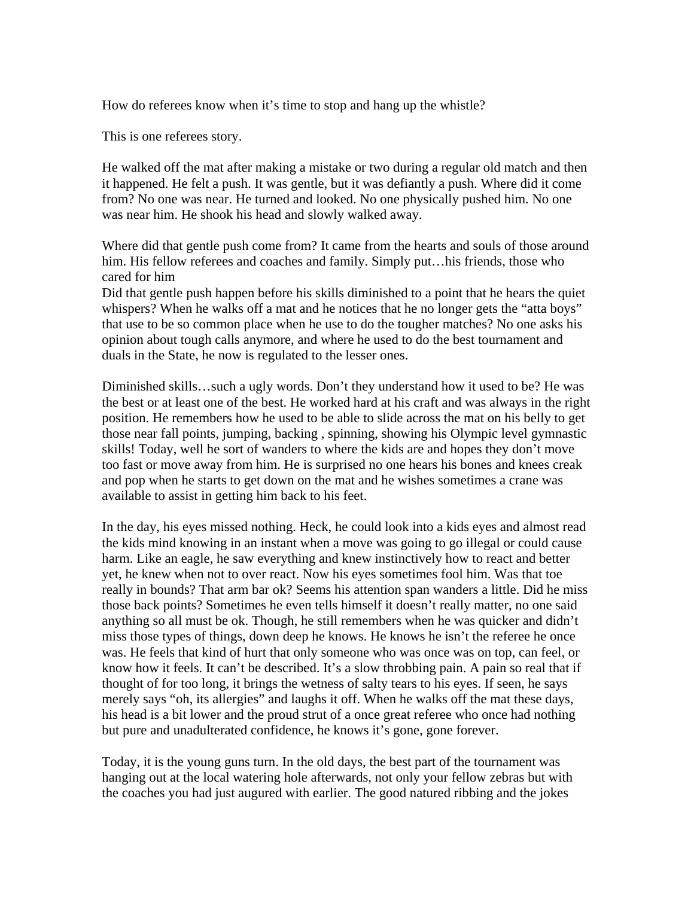How do referees know when it's time to stop and hang up the whistle?

This is one referees story.

He walked off the mat after making a mistake or two during a regular old match and then it happened. He felt a push. It was gentle, but it was defiantly a push. Where did it come from? No one was near. He turned and looked. No one physically pushed him. No one was near him. He shook his head and slowly walked away.

Where did that gentle push come from? It came from the hearts and souls of those around him. His fellow referees and coaches and family. Simply put...his friends, those who cared for him

Did that gentle push happen before his skills diminished to a point that he hears the quiet whispers? When he walks off a mat and he notices that he no longer gets the "atta boys" that use to be so common place when he use to do the tougher matches? No one asks his opinion about tough calls anymore, and where he used to do the best tournament and duals in the State, he now is regulated to the lesser ones.

Diminished skills…such a ugly words. Don't they understand how it used to be? He was the best or at least one of the best. He worked hard at his craft and was always in the right position. He remembers how he used to be able to slide across the mat on his belly to get those near fall points, jumping, backing , spinning, showing his Olympic level gymnastic skills! Today, well he sort of wanders to where the kids are and hopes they don't move too fast or move away from him. He is surprised no one hears his bones and knees creak and pop when he starts to get down on the mat and he wishes sometimes a crane was available to assist in getting him back to his feet.

In the day, his eyes missed nothing. Heck, he could look into a kids eyes and almost read the kids mind knowing in an instant when a move was going to go illegal or could cause harm. Like an eagle, he saw everything and knew instinctively how to react and better yet, he knew when not to over react. Now his eyes sometimes fool him. Was that toe really in bounds? That arm bar ok? Seems his attention span wanders a little. Did he miss those back points? Sometimes he even tells himself it doesn't really matter, no one said anything so all must be ok. Though, he still remembers when he was quicker and didn't miss those types of things, down deep he knows. He knows he isn't the referee he once was. He feels that kind of hurt that only someone who was once was on top, can feel, or know how it feels. It can't be described. It's a slow throbbing pain. A pain so real that if thought of for too long, it brings the wetness of salty tears to his eyes. If seen, he says merely says "oh, its allergies" and laughs it off. When he walks off the mat these days, his head is a bit lower and the proud strut of a once great referee who once had nothing but pure and unadulterated confidence, he knows it's gone, gone forever.

Today, it is the young guns turn. In the old days, the best part of the tournament was hanging out at the local watering hole afterwards, not only your fellow zebras but with the coaches you had just augured with earlier. The good natured ribbing and the jokes